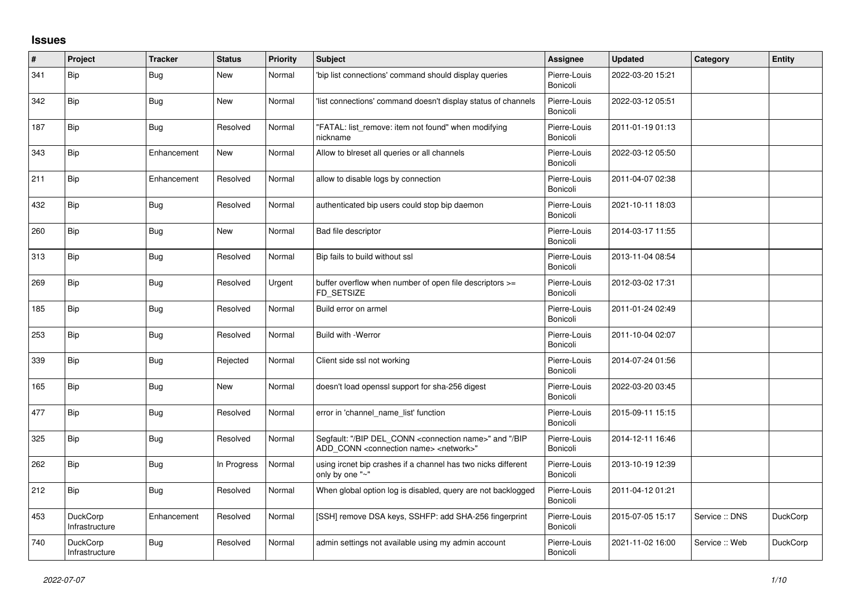## **Issues**

| #   | Project                           | <b>Tracker</b> | <b>Status</b> | <b>Priority</b> | <b>Subject</b>                                                                                                                            | <b>Assignee</b>          | <b>Updated</b>   | Category     | <b>Entity</b>   |
|-----|-----------------------------------|----------------|---------------|-----------------|-------------------------------------------------------------------------------------------------------------------------------------------|--------------------------|------------------|--------------|-----------------|
| 341 | <b>Bip</b>                        | Bug            | <b>New</b>    | Normal          | 'bip list connections' command should display queries                                                                                     | Pierre-Louis<br>Bonicoli | 2022-03-20 15:21 |              |                 |
| 342 | Bip                               | <b>Bug</b>     | <b>New</b>    | Normal          | list connections' command doesn't display status of channels                                                                              | Pierre-Louis<br>Bonicoli | 2022-03-12 05:51 |              |                 |
| 187 | <b>Bip</b>                        | Bug            | Resolved      | Normal          | "FATAL: list remove: item not found" when modifying<br>nickname                                                                           | Pierre-Louis<br>Bonicoli | 2011-01-19 01:13 |              |                 |
| 343 | Bip                               | Enhancement    | <b>New</b>    | Normal          | Allow to blreset all queries or all channels                                                                                              | Pierre-Louis<br>Bonicoli | 2022-03-12 05:50 |              |                 |
| 211 | Bip                               | Enhancement    | Resolved      | Normal          | allow to disable logs by connection                                                                                                       | Pierre-Louis<br>Bonicoli | 2011-04-07 02:38 |              |                 |
| 432 | Bip                               | <b>Bug</b>     | Resolved      | Normal          | authenticated bip users could stop bip daemon                                                                                             | Pierre-Louis<br>Bonicoli | 2021-10-11 18:03 |              |                 |
| 260 | Bip                               | <b>Bug</b>     | <b>New</b>    | Normal          | Bad file descriptor                                                                                                                       | Pierre-Louis<br>Bonicoli | 2014-03-17 11:55 |              |                 |
| 313 | Bip                               | Bug            | Resolved      | Normal          | Bip fails to build without ssl                                                                                                            | Pierre-Louis<br>Bonicoli | 2013-11-04 08:54 |              |                 |
| 269 | <b>Bip</b>                        | Bug            | Resolved      | Urgent          | buffer overflow when number of open file descriptors >=<br>FD SETSIZE                                                                     | Pierre-Louis<br>Bonicoli | 2012-03-02 17:31 |              |                 |
| 185 | Bip                               | <b>Bug</b>     | Resolved      | Normal          | Build error on armel                                                                                                                      | Pierre-Louis<br>Bonicoli | 2011-01-24 02:49 |              |                 |
| 253 | Bip                               | Bug            | Resolved      | Normal          | Build with -Werror                                                                                                                        | Pierre-Louis<br>Bonicoli | 2011-10-04 02:07 |              |                 |
| 339 | <b>Bip</b>                        | <b>Bug</b>     | Rejected      | Normal          | Client side ssl not working                                                                                                               | Pierre-Louis<br>Bonicoli | 2014-07-24 01:56 |              |                 |
| 165 | Bip                               | <b>Bug</b>     | New           | Normal          | doesn't load openssl support for sha-256 digest                                                                                           | Pierre-Louis<br>Bonicoli | 2022-03-20 03:45 |              |                 |
| 477 | <b>Bip</b>                        | Bug            | Resolved      | Normal          | error in 'channel name list' function                                                                                                     | Pierre-Louis<br>Bonicoli | 2015-09-11 15:15 |              |                 |
| 325 | <b>Bip</b>                        | <b>Bug</b>     | Resolved      | Normal          | Segfault: "/BIP DEL_CONN <connection name="">" and "/BIP<br/>ADD CONN <connection name=""> <network>"</network></connection></connection> | Pierre-Louis<br>Bonicoli | 2014-12-11 16:46 |              |                 |
| 262 | Bip                               | Bug            | In Progress   | Normal          | using ircnet bip crashes if a channel has two nicks different<br>only by one "~"                                                          | Pierre-Louis<br>Bonicoli | 2013-10-19 12:39 |              |                 |
| 212 | Bip                               | Bug            | Resolved      | Normal          | When global option log is disabled, query are not backlogged                                                                              | Pierre-Louis<br>Bonicoli | 2011-04-12 01:21 |              |                 |
| 453 | <b>DuckCorp</b><br>Infrastructure | Enhancement    | Resolved      | Normal          | [SSH] remove DSA keys, SSHFP: add SHA-256 fingerprint                                                                                     | Pierre-Louis<br>Bonicoli | 2015-07-05 15:17 | Service: DNS | <b>DuckCorp</b> |
| 740 | <b>DuckCorp</b><br>Infrastructure | <b>Bug</b>     | Resolved      | Normal          | admin settings not available using my admin account                                                                                       | Pierre-Louis<br>Bonicoli | 2021-11-02 16:00 | Service: Web | DuckCorp        |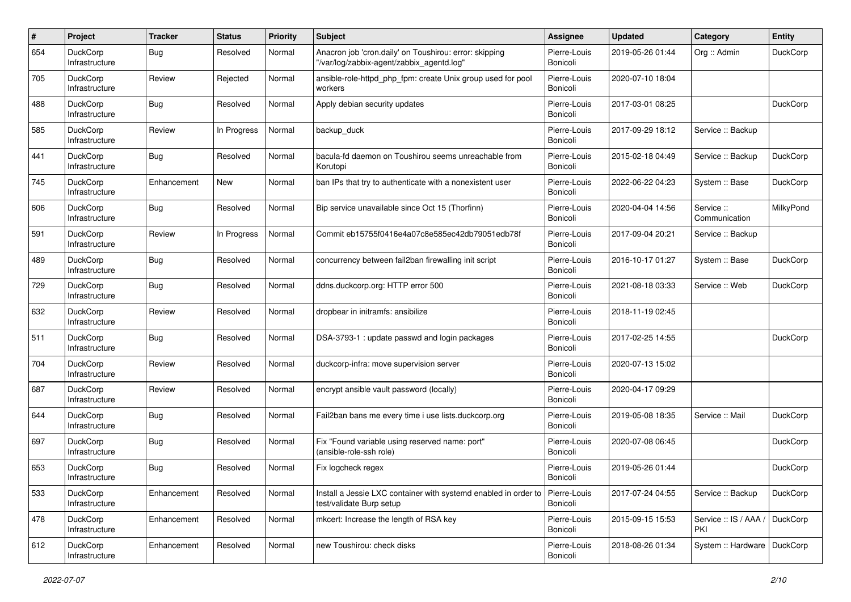| $\#$ | Project                           | <b>Tracker</b> | <b>Status</b> | <b>Priority</b> | <b>Subject</b>                                                                                      | <b>Assignee</b>          | <b>Updated</b>   | Category                     | <b>Entity</b>   |
|------|-----------------------------------|----------------|---------------|-----------------|-----------------------------------------------------------------------------------------------------|--------------------------|------------------|------------------------------|-----------------|
| 654  | DuckCorp<br>Infrastructure        | Bug            | Resolved      | Normal          | Anacron job 'cron.daily' on Toushirou: error: skipping<br>"/var/log/zabbix-agent/zabbix agentd.log" | Pierre-Louis<br>Bonicoli | 2019-05-26 01:44 | Org :: Admin                 | DuckCorp        |
| 705  | <b>DuckCorp</b><br>Infrastructure | Review         | Rejected      | Normal          | ansible-role-httpd php fpm: create Unix group used for pool<br>workers                              | Pierre-Louis<br>Bonicoli | 2020-07-10 18:04 |                              |                 |
| 488  | DuckCorp<br>Infrastructure        | Bug            | Resolved      | Normal          | Apply debian security updates                                                                       | Pierre-Louis<br>Bonicoli | 2017-03-01 08:25 |                              | DuckCorp        |
| 585  | <b>DuckCorp</b><br>Infrastructure | Review         | In Progress   | Normal          | backup_duck                                                                                         | Pierre-Louis<br>Bonicoli | 2017-09-29 18:12 | Service :: Backup            |                 |
| 441  | DuckCorp<br>Infrastructure        | Bug            | Resolved      | Normal          | bacula-fd daemon on Toushirou seems unreachable from<br>Korutopi                                    | Pierre-Louis<br>Bonicoli | 2015-02-18 04:49 | Service :: Backup            | DuckCorp        |
| 745  | DuckCorp<br>Infrastructure        | Enhancement    | New           | Normal          | ban IPs that try to authenticate with a nonexistent user                                            | Pierre-Louis<br>Bonicoli | 2022-06-22 04:23 | System :: Base               | <b>DuckCorp</b> |
| 606  | DuckCorp<br>Infrastructure        | Bug            | Resolved      | Normal          | Bip service unavailable since Oct 15 (Thorfinn)                                                     | Pierre-Louis<br>Bonicoli | 2020-04-04 14:56 | Service ::<br>Communication  | MilkyPond       |
| 591  | DuckCorp<br>Infrastructure        | Review         | In Progress   | Normal          | Commit eb15755f0416e4a07c8e585ec42db79051edb78f                                                     | Pierre-Louis<br>Bonicoli | 2017-09-04 20:21 | Service :: Backup            |                 |
| 489  | <b>DuckCorp</b><br>Infrastructure | <b>Bug</b>     | Resolved      | Normal          | concurrency between fail2ban firewalling init script                                                | Pierre-Louis<br>Bonicoli | 2016-10-17 01:27 | System :: Base               | <b>DuckCorp</b> |
| 729  | DuckCorp<br>Infrastructure        | Bug            | Resolved      | Normal          | ddns.duckcorp.org: HTTP error 500                                                                   | Pierre-Louis<br>Bonicoli | 2021-08-18 03:33 | Service :: Web               | <b>DuckCorp</b> |
| 632  | <b>DuckCorp</b><br>Infrastructure | Review         | Resolved      | Normal          | dropbear in initramfs: ansibilize                                                                   | Pierre-Louis<br>Bonicoli | 2018-11-19 02:45 |                              |                 |
| 511  | DuckCorp<br>Infrastructure        | Bug            | Resolved      | Normal          | DSA-3793-1 : update passwd and login packages                                                       | Pierre-Louis<br>Bonicoli | 2017-02-25 14:55 |                              | DuckCorp        |
| 704  | DuckCorp<br>Infrastructure        | Review         | Resolved      | Normal          | duckcorp-infra: move supervision server                                                             | Pierre-Louis<br>Bonicoli | 2020-07-13 15:02 |                              |                 |
| 687  | <b>DuckCorp</b><br>Infrastructure | Review         | Resolved      | Normal          | encrypt ansible vault password (locally)                                                            | Pierre-Louis<br>Bonicoli | 2020-04-17 09:29 |                              |                 |
| 644  | DuckCorp<br>Infrastructure        | Bug            | Resolved      | Normal          | Fail2ban bans me every time i use lists.duckcorp.org                                                | Pierre-Louis<br>Bonicoli | 2019-05-08 18:35 | Service: Mail                | DuckCorp        |
| 697  | DuckCorp<br>Infrastructure        | Bug            | Resolved      | Normal          | Fix "Found variable using reserved name: port"<br>(ansible-role-ssh role)                           | Pierre-Louis<br>Bonicoli | 2020-07-08 06:45 |                              | DuckCorp        |
| 653  | DuckCorp<br>Infrastructure        | Bug            | Resolved      | Normal          | Fix logcheck regex                                                                                  | Pierre-Louis<br>Bonicoli | 2019-05-26 01:44 |                              | DuckCorp        |
| 533  | DuckCorp<br>Infrastructure        | Enhancement    | Resolved      | Normal          | Install a Jessie LXC container with systemd enabled in order to<br>test/validate Burp setup         | Pierre-Louis<br>Bonicoli | 2017-07-24 04:55 | Service :: Backup            | DuckCorp        |
| 478  | DuckCorp<br>Infrastructure        | Enhancement    | Resolved      | Normal          | mkcert: Increase the length of RSA key                                                              | Pierre-Louis<br>Bonicoli | 2015-09-15 15:53 | Service :: IS / AAA /<br>PKI | DuckCorp        |
| 612  | DuckCorp<br>Infrastructure        | Enhancement    | Resolved      | Normal          | new Toushirou: check disks                                                                          | Pierre-Louis<br>Bonicoli | 2018-08-26 01:34 | System :: Hardware           | DuckCorp        |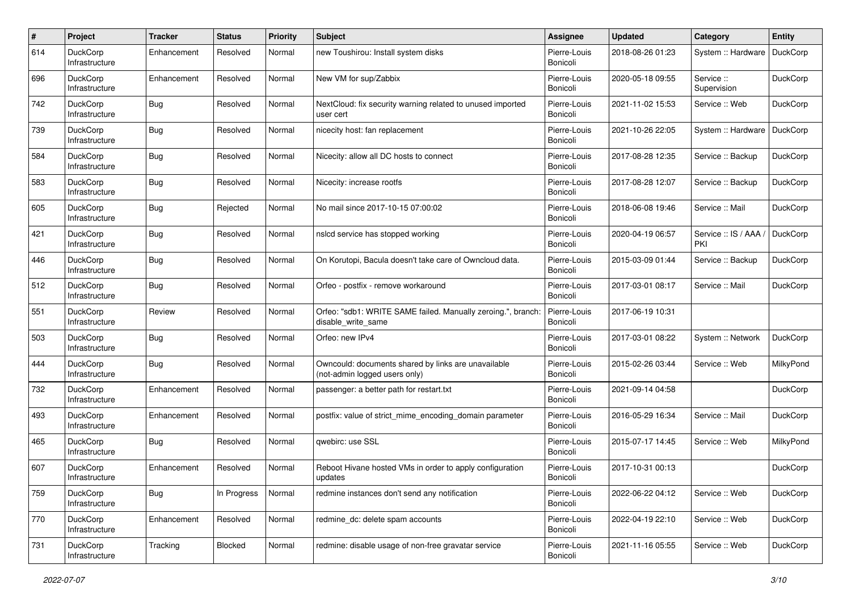| $\pmb{\#}$ | Project                           | <b>Tracker</b> | <b>Status</b> | <b>Priority</b> | <b>Subject</b>                                                                       | Assignee                 | <b>Updated</b>   | Category                     | <b>Entity</b>   |
|------------|-----------------------------------|----------------|---------------|-----------------|--------------------------------------------------------------------------------------|--------------------------|------------------|------------------------------|-----------------|
| 614        | DuckCorp<br>Infrastructure        | Enhancement    | Resolved      | Normal          | new Toushirou: Install system disks                                                  | Pierre-Louis<br>Bonicoli | 2018-08-26 01:23 | System :: Hardware           | <b>DuckCorp</b> |
| 696        | DuckCorp<br>Infrastructure        | Enhancement    | Resolved      | Normal          | New VM for sup/Zabbix                                                                | Pierre-Louis<br>Bonicoli | 2020-05-18 09:55 | Service ::<br>Supervision    | <b>DuckCorp</b> |
| 742        | DuckCorp<br>Infrastructure        | Bug            | Resolved      | Normal          | NextCloud: fix security warning related to unused imported<br>user cert              | Pierre-Louis<br>Bonicoli | 2021-11-02 15:53 | Service :: Web               | <b>DuckCorp</b> |
| 739        | <b>DuckCorp</b><br>Infrastructure | <b>Bug</b>     | Resolved      | Normal          | nicecity host: fan replacement                                                       | Pierre-Louis<br>Bonicoli | 2021-10-26 22:05 | System :: Hardware           | DuckCorp        |
| 584        | DuckCorp<br>Infrastructure        | Bug            | Resolved      | Normal          | Nicecity: allow all DC hosts to connect                                              | Pierre-Louis<br>Bonicoli | 2017-08-28 12:35 | Service :: Backup            | DuckCorp        |
| 583        | DuckCorp<br>Infrastructure        | Bug            | Resolved      | Normal          | Nicecity: increase rootfs                                                            | Pierre-Louis<br>Bonicoli | 2017-08-28 12:07 | Service :: Backup            | DuckCorp        |
| 605        | DuckCorp<br>Infrastructure        | Bug            | Rejected      | Normal          | No mail since 2017-10-15 07:00:02                                                    | Pierre-Louis<br>Bonicoli | 2018-06-08 19:46 | Service :: Mail              | DuckCorp        |
| 421        | DuckCorp<br>Infrastructure        | Bug            | Resolved      | Normal          | nslcd service has stopped working                                                    | Pierre-Louis<br>Bonicoli | 2020-04-19 06:57 | Service :: IS / AAA /<br>PKI | DuckCorp        |
| 446        | DuckCorp<br>Infrastructure        | Bug            | Resolved      | Normal          | On Korutopi, Bacula doesn't take care of Owncloud data.                              | Pierre-Louis<br>Bonicoli | 2015-03-09 01:44 | Service :: Backup            | <b>DuckCorp</b> |
| 512        | DuckCorp<br>Infrastructure        | Bug            | Resolved      | Normal          | Orfeo - postfix - remove workaround                                                  | Pierre-Louis<br>Bonicoli | 2017-03-01 08:17 | Service: Mail                | DuckCorp        |
| 551        | <b>DuckCorp</b><br>Infrastructure | Review         | Resolved      | Normal          | Orfeo: "sdb1: WRITE SAME failed. Manually zeroing.", branch:<br>disable write same   | Pierre-Louis<br>Bonicoli | 2017-06-19 10:31 |                              |                 |
| 503        | <b>DuckCorp</b><br>Infrastructure | Bug            | Resolved      | Normal          | Orfeo: new IPv4                                                                      | Pierre-Louis<br>Bonicoli | 2017-03-01 08:22 | System :: Network            | <b>DuckCorp</b> |
| 444        | DuckCorp<br>Infrastructure        | Bug            | Resolved      | Normal          | Owncould: documents shared by links are unavailable<br>(not-admin logged users only) | Pierre-Louis<br>Bonicoli | 2015-02-26 03:44 | Service :: Web               | MilkyPond       |
| 732        | DuckCorp<br>Infrastructure        | Enhancement    | Resolved      | Normal          | passenger: a better path for restart.txt                                             | Pierre-Louis<br>Bonicoli | 2021-09-14 04:58 |                              | <b>DuckCorp</b> |
| 493        | <b>DuckCorp</b><br>Infrastructure | Enhancement    | Resolved      | Normal          | postfix: value of strict mime encoding domain parameter                              | Pierre-Louis<br>Bonicoli | 2016-05-29 16:34 | Service: Mail                | <b>DuckCorp</b> |
| 465        | DuckCorp<br>Infrastructure        | Bug            | Resolved      | Normal          | qwebirc: use SSL                                                                     | Pierre-Louis<br>Bonicoli | 2015-07-17 14:45 | Service :: Web               | MilkyPond       |
| 607        | <b>DuckCorp</b><br>Infrastructure | Enhancement    | Resolved      | Normal          | Reboot Hivane hosted VMs in order to apply configuration<br>updates                  | Pierre-Louis<br>Bonicoli | 2017-10-31 00:13 |                              | DuckCorp        |
| 759        | <b>DuckCorp</b><br>Infrastructure | Bug            | In Progress   | Normal          | redmine instances don't send any notification                                        | Pierre-Louis<br>Bonicoli | 2022-06-22 04:12 | Service: Web                 | DuckCorp        |
| 770        | DuckCorp<br>Infrastructure        | Enhancement    | Resolved      | Normal          | redmine dc: delete spam accounts                                                     | Pierre-Louis<br>Bonicoli | 2022-04-19 22:10 | Service :: Web               | <b>DuckCorp</b> |
| 731        | <b>DuckCorp</b><br>Infrastructure | Tracking       | Blocked       | Normal          | redmine: disable usage of non-free gravatar service                                  | Pierre-Louis<br>Bonicoli | 2021-11-16 05:55 | Service: Web                 | <b>DuckCorp</b> |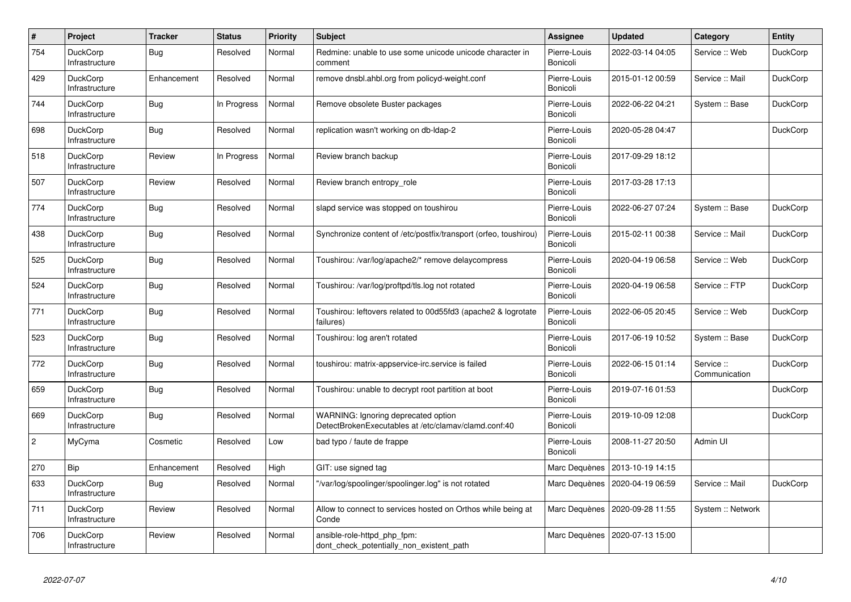| $\sharp$       | Project                           | <b>Tracker</b> | <b>Status</b> | <b>Priority</b> | <b>Subject</b>                                                                              | Assignee                 | <b>Updated</b>   | Category                  | <b>Entity</b>   |
|----------------|-----------------------------------|----------------|---------------|-----------------|---------------------------------------------------------------------------------------------|--------------------------|------------------|---------------------------|-----------------|
| 754            | <b>DuckCorp</b><br>Infrastructure | <b>Bug</b>     | Resolved      | Normal          | Redmine: unable to use some unicode unicode character in<br>comment                         | Pierre-Louis<br>Bonicoli | 2022-03-14 04:05 | Service :: Web            | <b>DuckCorp</b> |
| 429            | DuckCorp<br>Infrastructure        | Enhancement    | Resolved      | Normal          | remove dnsbl.ahbl.org from policyd-weight.conf                                              | Pierre-Louis<br>Bonicoli | 2015-01-12 00:59 | Service :: Mail           | <b>DuckCorp</b> |
| 744            | <b>DuckCorp</b><br>Infrastructure | <b>Bug</b>     | In Progress   | Normal          | Remove obsolete Buster packages                                                             | Pierre-Louis<br>Bonicoli | 2022-06-22 04:21 | System :: Base            | <b>DuckCorp</b> |
| 698            | DuckCorp<br>Infrastructure        | <b>Bug</b>     | Resolved      | Normal          | replication wasn't working on db-Idap-2                                                     | Pierre-Louis<br>Bonicoli | 2020-05-28 04:47 |                           | <b>DuckCorp</b> |
| 518            | <b>DuckCorp</b><br>Infrastructure | Review         | In Progress   | Normal          | Review branch backup                                                                        | Pierre-Louis<br>Bonicoli | 2017-09-29 18:12 |                           |                 |
| 507            | <b>DuckCorp</b><br>Infrastructure | Review         | Resolved      | Normal          | Review branch entropy role                                                                  | Pierre-Louis<br>Bonicoli | 2017-03-28 17:13 |                           |                 |
| 774            | DuckCorp<br>Infrastructure        | <b>Bug</b>     | Resolved      | Normal          | slapd service was stopped on toushirou                                                      | Pierre-Louis<br>Bonicoli | 2022-06-27 07:24 | System :: Base            | <b>DuckCorp</b> |
| 438            | <b>DuckCorp</b><br>Infrastructure | <b>Bug</b>     | Resolved      | Normal          | Synchronize content of /etc/postfix/transport (orfeo, toushirou)                            | Pierre-Louis<br>Bonicoli | 2015-02-11 00:38 | Service :: Mail           | <b>DuckCorp</b> |
| 525            | <b>DuckCorp</b><br>Infrastructure | <b>Bug</b>     | Resolved      | Normal          | Toushirou: /var/log/apache2/* remove delaycompress                                          | Pierre-Louis<br>Bonicoli | 2020-04-19 06:58 | Service: Web              | <b>DuckCorp</b> |
| 524            | DuckCorp<br>Infrastructure        | Bug            | Resolved      | Normal          | Toushirou: /var/log/proftpd/tls.log not rotated                                             | Pierre-Louis<br>Bonicoli | 2020-04-19 06:58 | Service :: FTP            | <b>DuckCorp</b> |
| 771            | DuckCorp<br>Infrastructure        | Bug            | Resolved      | Normal          | Toushirou: leftovers related to 00d55fd3 (apache2 & logrotate<br>failures)                  | Pierre-Louis<br>Bonicoli | 2022-06-05 20:45 | Service :: Web            | <b>DuckCorp</b> |
| 523            | <b>DuckCorp</b><br>Infrastructure | Bug            | Resolved      | Normal          | Toushirou: log aren't rotated                                                               | Pierre-Louis<br>Bonicoli | 2017-06-19 10:52 | System :: Base            | DuckCorp        |
| 772            | DuckCorp<br>Infrastructure        | Bug            | Resolved      | Normal          | toushirou: matrix-appservice-irc.service is failed                                          | Pierre-Louis<br>Bonicoli | 2022-06-15 01:14 | Service:<br>Communication | <b>DuckCorp</b> |
| 659            | DuckCorp<br>Infrastructure        | <b>Bug</b>     | Resolved      | Normal          | Toushirou: unable to decrypt root partition at boot                                         | Pierre-Louis<br>Bonicoli | 2019-07-16 01:53 |                           | <b>DuckCorp</b> |
| 669            | <b>DuckCorp</b><br>Infrastructure | Bug            | Resolved      | Normal          | WARNING: Ignoring deprecated option<br>DetectBrokenExecutables at /etc/clamav/clamd.conf:40 | Pierre-Louis<br>Bonicoli | 2019-10-09 12:08 |                           | DuckCorp        |
| $\overline{c}$ | MyCyma                            | Cosmetic       | Resolved      | Low             | bad typo / faute de frappe                                                                  | Pierre-Louis<br>Bonicoli | 2008-11-27 20:50 | Admin UI                  |                 |
| 270            | Bip                               | Enhancement    | Resolved      | High            | GIT: use signed tag                                                                         | Marc Dequènes            | 2013-10-19 14:15 |                           |                 |
| 633            | <b>DuckCorp</b><br>Infrastructure | <b>Bug</b>     | Resolved      | Normal          | "/var/log/spoolinger/spoolinger.log" is not rotated                                         | Marc Dequènes            | 2020-04-19 06:59 | Service :: Mail           | <b>DuckCorp</b> |
| 711            | DuckCorp<br>Infrastructure        | Review         | Resolved      | Normal          | Allow to connect to services hosted on Orthos while being at<br>Conde                       | Marc Dequènes            | 2020-09-28 11:55 | System :: Network         |                 |
| 706            | <b>DuckCorp</b><br>Infrastructure | Review         | Resolved      | Normal          | ansible-role-httpd php fpm:<br>dont_check_potentially_non_existent_path                     | Marc Dequènes            | 2020-07-13 15:00 |                           |                 |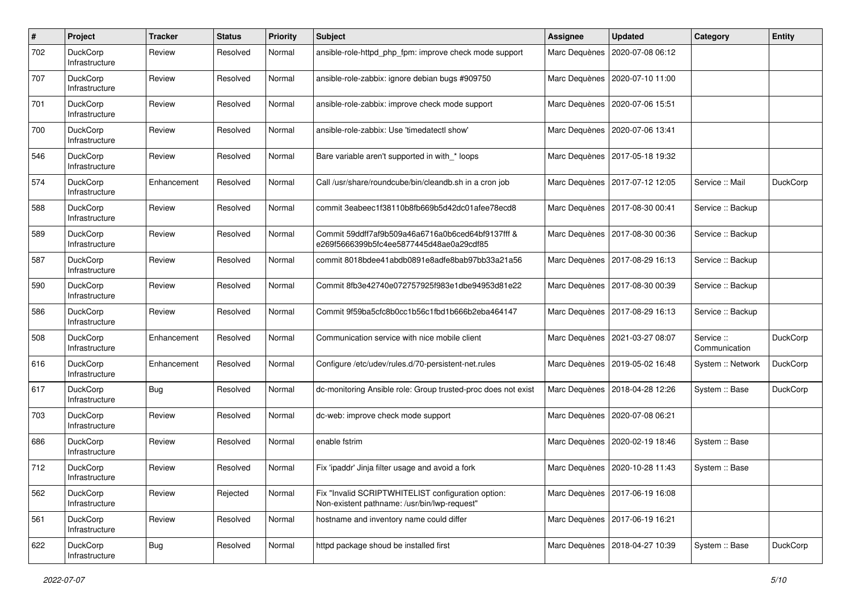| $\#$ | Project                           | <b>Tracker</b> | <b>Status</b> | <b>Priority</b> | <b>Subject</b>                                                                                     | <b>Assignee</b> | <b>Updated</b>                   | Category                  | Entity          |
|------|-----------------------------------|----------------|---------------|-----------------|----------------------------------------------------------------------------------------------------|-----------------|----------------------------------|---------------------------|-----------------|
| 702  | DuckCorp<br>Infrastructure        | Review         | Resolved      | Normal          | ansible-role-httpd php fpm: improve check mode support                                             | Marc Dequènes   | 2020-07-08 06:12                 |                           |                 |
| 707  | DuckCorp<br>Infrastructure        | Review         | Resolved      | Normal          | ansible-role-zabbix: ignore debian bugs #909750                                                    | Marc Dequènes   | 2020-07-10 11:00                 |                           |                 |
| 701  | DuckCorp<br>Infrastructure        | Review         | Resolved      | Normal          | ansible-role-zabbix: improve check mode support                                                    | Marc Dequènes   | 2020-07-06 15:51                 |                           |                 |
| 700  | <b>DuckCorp</b><br>Infrastructure | Review         | Resolved      | Normal          | ansible-role-zabbix: Use 'timedatectl show'                                                        | Marc Dequènes   | 2020-07-06 13:41                 |                           |                 |
| 546  | DuckCorp<br>Infrastructure        | Review         | Resolved      | Normal          | Bare variable aren't supported in with_* loops                                                     |                 | Marc Dequènes   2017-05-18 19:32 |                           |                 |
| 574  | DuckCorp<br>Infrastructure        | Enhancement    | Resolved      | Normal          | Call /usr/share/roundcube/bin/cleandb.sh in a cron job                                             | Marc Dequènes   | 2017-07-12 12:05                 | Service :: Mail           | <b>DuckCorp</b> |
| 588  | DuckCorp<br>Infrastructure        | Review         | Resolved      | Normal          | commit 3eabeec1f38110b8fb669b5d42dc01afee78ecd8                                                    | Marc Dequènes   | 2017-08-30 00:41                 | Service :: Backup         |                 |
| 589  | DuckCorp<br>Infrastructure        | Review         | Resolved      | Normal          | Commit 59ddff7af9b509a46a6716a0b6ced64bf9137fff &<br>e269f5666399b5fc4ee5877445d48ae0a29cdf85      | Marc Dequènes   | 2017-08-30 00:36                 | Service :: Backup         |                 |
| 587  | DuckCorp<br>Infrastructure        | Review         | Resolved      | Normal          | commit 8018bdee41abdb0891e8adfe8bab97bb33a21a56                                                    | Marc Dequènes   | 2017-08-29 16:13                 | Service :: Backup         |                 |
| 590  | DuckCorp<br>Infrastructure        | Review         | Resolved      | Normal          | Commit 8fb3e42740e072757925f983e1dbe94953d81e22                                                    | Marc Dequènes   | 2017-08-30 00:39                 | Service :: Backup         |                 |
| 586  | <b>DuckCorp</b><br>Infrastructure | Review         | Resolved      | Normal          | Commit 9f59ba5cfc8b0cc1b56c1fbd1b666b2eba464147                                                    | Marc Dequènes   | 2017-08-29 16:13                 | Service :: Backup         |                 |
| 508  | DuckCorp<br>Infrastructure        | Enhancement    | Resolved      | Normal          | Communication service with nice mobile client                                                      |                 | Marc Dequènes   2021-03-27 08:07 | Service:<br>Communication | <b>DuckCorp</b> |
| 616  | DuckCorp<br>Infrastructure        | Enhancement    | Resolved      | Normal          | Configure /etc/udev/rules.d/70-persistent-net.rules                                                | Marc Dequènes   | 2019-05-02 16:48                 | System :: Network         | DuckCorp        |
| 617  | DuckCorp<br>Infrastructure        | Bug            | Resolved      | Normal          | dc-monitoring Ansible role: Group trusted-proc does not exist                                      | Marc Dequènes   | 2018-04-28 12:26                 | System :: Base            | DuckCorp        |
| 703  | DuckCorp<br>Infrastructure        | Review         | Resolved      | Normal          | dc-web: improve check mode support                                                                 | Marc Dequènes   | 2020-07-08 06:21                 |                           |                 |
| 686  | DuckCorp<br>Infrastructure        | Review         | Resolved      | Normal          | enable fstrim                                                                                      | Marc Dequènes   | 2020-02-19 18:46                 | System :: Base            |                 |
| 712  | <b>DuckCorp</b><br>Infrastructure | Review         | Resolved      | Normal          | Fix 'ipaddr' Jinja filter usage and avoid a fork                                                   | Marc Dequènes   | 2020-10-28 11:43                 | System :: Base            |                 |
| 562  | DuckCorp<br>Infrastructure        | Review         | Rejected      | Normal          | Fix "Invalid SCRIPTWHITELIST configuration option:<br>Non-existent pathname: /usr/bin/lwp-request" |                 | Marc Dequènes   2017-06-19 16:08 |                           |                 |
| 561  | DuckCorp<br>Infrastructure        | Review         | Resolved      | Normal          | hostname and inventory name could differ                                                           |                 | Marc Dequènes   2017-06-19 16:21 |                           |                 |
| 622  | DuckCorp<br>Infrastructure        | <b>Bug</b>     | Resolved      | Normal          | httpd package shoud be installed first                                                             | Marc Dequènes   | 2018-04-27 10:39                 | System :: Base            | <b>DuckCorp</b> |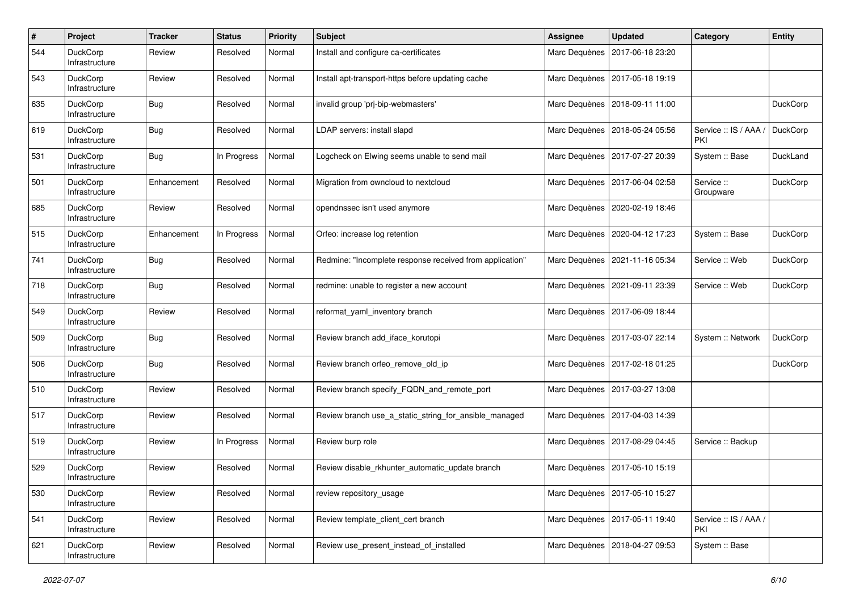| $\#$ | Project                           | <b>Tracker</b> | <b>Status</b> | <b>Priority</b> | <b>Subject</b>                                           | <b>Assignee</b> | <b>Updated</b>                   | Category                   | Entity          |
|------|-----------------------------------|----------------|---------------|-----------------|----------------------------------------------------------|-----------------|----------------------------------|----------------------------|-----------------|
| 544  | DuckCorp<br>Infrastructure        | Review         | Resolved      | Normal          | Install and configure ca-certificates                    | Marc Dequènes   | 2017-06-18 23:20                 |                            |                 |
| 543  | DuckCorp<br>Infrastructure        | Review         | Resolved      | Normal          | Install apt-transport-https before updating cache        | Marc Dequènes   | 2017-05-18 19:19                 |                            |                 |
| 635  | DuckCorp<br>Infrastructure        | Bug            | Resolved      | Normal          | invalid group 'pri-bip-webmasters'                       | Marc Dequènes   | 2018-09-11 11:00                 |                            | DuckCorp        |
| 619  | <b>DuckCorp</b><br>Infrastructure | <b>Bug</b>     | Resolved      | Normal          | LDAP servers: install slapd                              | Marc Dequènes   | 2018-05-24 05:56                 | Service: IS / AAA /<br>PKI | DuckCorp        |
| 531  | DuckCorp<br>Infrastructure        | Bug            | In Progress   | Normal          | Logcheck on Elwing seems unable to send mail             | Marc Dequènes   | 2017-07-27 20:39                 | System :: Base             | DuckLand        |
| 501  | <b>DuckCorp</b><br>Infrastructure | Enhancement    | Resolved      | Normal          | Migration from owncloud to nextcloud                     | Marc Dequènes   | 2017-06-04 02:58                 | Service ::<br>Groupware    | DuckCorp        |
| 685  | DuckCorp<br>Infrastructure        | Review         | Resolved      | Normal          | opendnssec isn't used anymore                            | Marc Dequènes   | 2020-02-19 18:46                 |                            |                 |
| 515  | DuckCorp<br>Infrastructure        | Enhancement    | In Progress   | Normal          | Orfeo: increase log retention                            | Marc Dequènes   | 2020-04-12 17:23                 | System :: Base             | <b>DuckCorp</b> |
| 741  | DuckCorp<br>Infrastructure        | Bug            | Resolved      | Normal          | Redmine: "Incomplete response received from application" | Marc Dequènes   | 2021-11-16 05:34                 | Service :: Web             | <b>DuckCorp</b> |
| 718  | DuckCorp<br>Infrastructure        | Bug            | Resolved      | Normal          | redmine: unable to register a new account                | Marc Dequènes   | 2021-09-11 23:39                 | Service: Web               | DuckCorp        |
| 549  | <b>DuckCorp</b><br>Infrastructure | Review         | Resolved      | Normal          | reformat yaml inventory branch                           | Marc Dequènes   | 2017-06-09 18:44                 |                            |                 |
| 509  | DuckCorp<br>Infrastructure        | Bug            | Resolved      | Normal          | Review branch add iface korutopi                         | Marc Dequènes   | 2017-03-07 22:14                 | System :: Network          | <b>DuckCorp</b> |
| 506  | DuckCorp<br>Infrastructure        | Bug            | Resolved      | Normal          | Review branch orfeo_remove_old_ip                        | Marc Dequènes   | 2017-02-18 01:25                 |                            | DuckCorp        |
| 510  | DuckCorp<br>Infrastructure        | Review         | Resolved      | Normal          | Review branch specify_FQDN_and_remote_port               | Marc Dequènes   | 2017-03-27 13:08                 |                            |                 |
| 517  | <b>DuckCorp</b><br>Infrastructure | Review         | Resolved      | Normal          | Review branch use_a_static_string_for_ansible_managed    | Marc Dequènes   | 2017-04-03 14:39                 |                            |                 |
| 519  | DuckCorp<br>Infrastructure        | Review         | In Progress   | Normal          | Review burp role                                         | Marc Dequènes   | 2017-08-29 04:45                 | Service :: Backup          |                 |
| 529  | <b>DuckCorp</b><br>Infrastructure | Review         | Resolved      | Normal          | Review disable_rkhunter_automatic_update branch          | Marc Dequènes   | 2017-05-10 15:19                 |                            |                 |
| 530  | <b>DuckCorp</b><br>Infrastructure | Review         | Resolved      | Normal          | review repository_usage                                  |                 | Marc Dequènes   2017-05-10 15:27 |                            |                 |
| 541  | DuckCorp<br>Infrastructure        | Review         | Resolved      | Normal          | Review template client cert branch                       | Marc Dequènes   | 2017-05-11 19:40                 | Service: IS / AAA /<br>PKI |                 |
| 621  | DuckCorp<br>Infrastructure        | Review         | Resolved      | Normal          | Review use present instead of installed                  | Marc Dequènes   | 2018-04-27 09:53                 | System :: Base             |                 |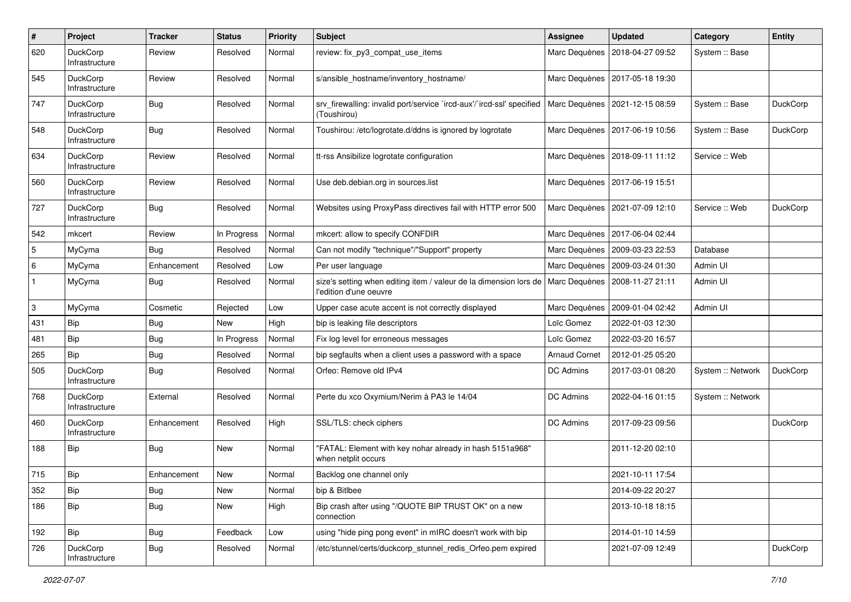| $\#$                      | Project                           | <b>Tracker</b> | <b>Status</b> | <b>Priority</b> | <b>Subject</b>                                                                              | <b>Assignee</b>      | <b>Updated</b>   | Category          | <b>Entity</b>   |
|---------------------------|-----------------------------------|----------------|---------------|-----------------|---------------------------------------------------------------------------------------------|----------------------|------------------|-------------------|-----------------|
| 620                       | DuckCorp<br>Infrastructure        | Review         | Resolved      | Normal          | review: fix_py3_compat_use_items                                                            | Marc Dequènes        | 2018-04-27 09:52 | System :: Base    |                 |
| 545                       | DuckCorp<br>Infrastructure        | Review         | Resolved      | Normal          | s/ansible hostname/inventory hostname/                                                      | Marc Dequènes        | 2017-05-18 19:30 |                   |                 |
| 747                       | DuckCorp<br>Infrastructure        | Bug            | Resolved      | Normal          | srv firewalling: invalid port/service `ircd-aux'/`ircd-ssl' specified<br>(Toushirou)        | Marc Dequènes        | 2021-12-15 08:59 | System :: Base    | <b>DuckCorp</b> |
| 548                       | <b>DuckCorp</b><br>Infrastructure | <b>Bug</b>     | Resolved      | Normal          | Toushirou: /etc/logrotate.d/ddns is ignored by logrotate                                    | Marc Dequènes        | 2017-06-19 10:56 | System :: Base    | DuckCorp        |
| 634                       | DuckCorp<br>Infrastructure        | Review         | Resolved      | Normal          | tt-rss Ansibilize logrotate configuration                                                   | Marc Dequènes        | 2018-09-11 11:12 | Service: Web      |                 |
| 560                       | DuckCorp<br>Infrastructure        | Review         | Resolved      | Normal          | Use deb.debian.org in sources.list                                                          | Marc Dequènes        | 2017-06-19 15:51 |                   |                 |
| 727                       | DuckCorp<br>Infrastructure        | Bug            | Resolved      | Normal          | Websites using ProxyPass directives fail with HTTP error 500                                | Marc Dequènes        | 2021-07-09 12:10 | Service: Web      | <b>DuckCorp</b> |
| 542                       | mkcert                            | Review         | In Progress   | Normal          | mkcert: allow to specify CONFDIR                                                            | Marc Dequènes        | 2017-06-04 02:44 |                   |                 |
| 5                         | MyCyma                            | Bug            | Resolved      | Normal          | Can not modify "technique"/"Support" property                                               | Marc Dequènes        | 2009-03-23 22:53 | Database          |                 |
| $\,6\,$                   | MyCyma                            | Enhancement    | Resolved      | Low             | Per user language                                                                           | Marc Dequènes        | 2009-03-24 01:30 | Admin UI          |                 |
| $\mathbf{1}$              | MyCyma                            | <b>Bug</b>     | Resolved      | Normal          | size's setting when editing item / valeur de la dimension lors de<br>l'edition d'une oeuvre | Marc Dequènes        | 2008-11-27 21:11 | Admin UI          |                 |
| $\ensuremath{\mathsf{3}}$ | MyCyma                            | Cosmetic       | Rejected      | Low             | Upper case acute accent is not correctly displayed                                          | Marc Dequènes        | 2009-01-04 02:42 | Admin UI          |                 |
| 431                       | Bip                               | <b>Bug</b>     | <b>New</b>    | High            | bip is leaking file descriptors                                                             | Loïc Gomez           | 2022-01-03 12:30 |                   |                 |
| 481                       | Bip                               | <b>Bug</b>     | In Progress   | Normal          | Fix log level for erroneous messages                                                        | Loïc Gomez           | 2022-03-20 16:57 |                   |                 |
| 265                       | Bip                               | <b>Bug</b>     | Resolved      | Normal          | bip segfaults when a client uses a password with a space                                    | <b>Arnaud Cornet</b> | 2012-01-25 05:20 |                   |                 |
| 505                       | DuckCorp<br>Infrastructure        | Bug            | Resolved      | Normal          | Orfeo: Remove old IPv4                                                                      | DC Admins            | 2017-03-01 08:20 | System :: Network | DuckCorp        |
| 768                       | DuckCorp<br>Infrastructure        | External       | Resolved      | Normal          | Perte du xco Oxymium/Nerim à PA3 le 14/04                                                   | DC Admins            | 2022-04-16 01:15 | System :: Network |                 |
| 460                       | DuckCorp<br>Infrastructure        | Enhancement    | Resolved      | High            | SSL/TLS: check ciphers                                                                      | DC Admins            | 2017-09-23 09:56 |                   | <b>DuckCorp</b> |
| 188                       | Bip                               | Bug            | New           | Normal          | "FATAL: Element with key nohar already in hash 5151a968"<br>when netplit occurs             |                      | 2011-12-20 02:10 |                   |                 |
| 715                       | Bip                               | Enhancement    | New           | Normal          | Backlog one channel only                                                                    |                      | 2021-10-11 17:54 |                   |                 |
| 352                       | Bip                               | <b>Bug</b>     | New           | Normal          | bip & Bitlbee                                                                               |                      | 2014-09-22 20:27 |                   |                 |
| 186                       | Bip                               | <b>Bug</b>     | New           | High            | Bip crash after using "/QUOTE BIP TRUST OK" on a new<br>connection                          |                      | 2013-10-18 18:15 |                   |                 |
| 192                       | Bip                               | Bug            | Feedback      | Low             | using "hide ping pong event" in mIRC doesn't work with bip                                  |                      | 2014-01-10 14:59 |                   |                 |
| 726                       | DuckCorp<br>Infrastructure        | Bug            | Resolved      | Normal          | /etc/stunnel/certs/duckcorp_stunnel_redis_Orfeo.pem expired                                 |                      | 2021-07-09 12:49 |                   | DuckCorp        |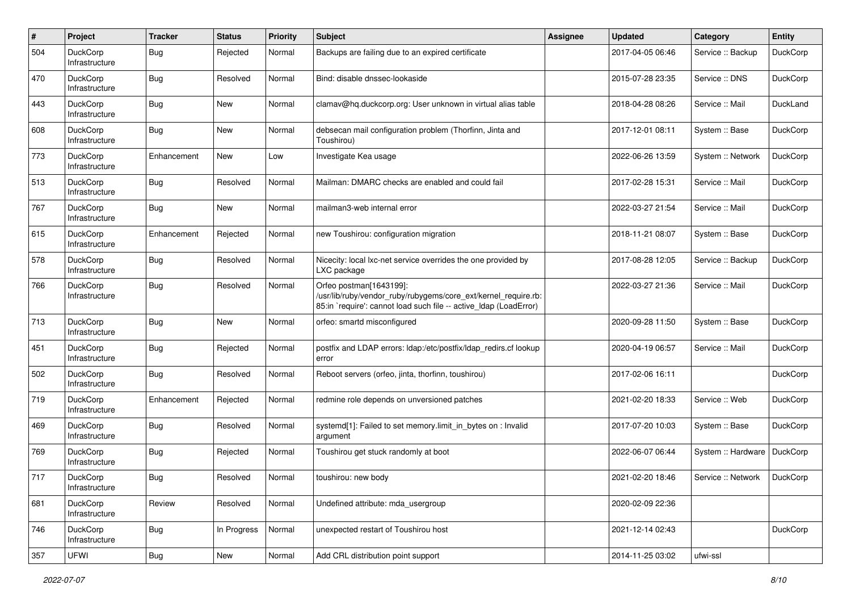| #   | Project                           | <b>Tracker</b> | <b>Status</b> | <b>Priority</b> | <b>Subject</b>                                                                                                                                                 | <b>Assignee</b> | <b>Updated</b>   | Category           | <b>Entity</b>   |
|-----|-----------------------------------|----------------|---------------|-----------------|----------------------------------------------------------------------------------------------------------------------------------------------------------------|-----------------|------------------|--------------------|-----------------|
| 504 | DuckCorp<br>Infrastructure        | Bug            | Rejected      | Normal          | Backups are failing due to an expired certificate                                                                                                              |                 | 2017-04-05 06:46 | Service :: Backup  | DuckCorp        |
| 470 | DuckCorp<br>Infrastructure        | Bug            | Resolved      | Normal          | Bind: disable dnssec-lookaside                                                                                                                                 |                 | 2015-07-28 23:35 | Service: DNS       | <b>DuckCorp</b> |
| 443 | DuckCorp<br>Infrastructure        | Bug            | New           | Normal          | clamav@hg.duckcorp.org: User unknown in virtual alias table                                                                                                    |                 | 2018-04-28 08:26 | Service :: Mail    | DuckLand        |
| 608 | <b>DuckCorp</b><br>Infrastructure | <b>Bug</b>     | New           | Normal          | debsecan mail configuration problem (Thorfinn, Jinta and<br>Toushirou)                                                                                         |                 | 2017-12-01 08:11 | System :: Base     | <b>DuckCorp</b> |
| 773 | DuckCorp<br>Infrastructure        | Enhancement    | <b>New</b>    | Low             | Investigate Kea usage                                                                                                                                          |                 | 2022-06-26 13:59 | System :: Network  | DuckCorp        |
| 513 | <b>DuckCorp</b><br>Infrastructure | Bug            | Resolved      | Normal          | Mailman: DMARC checks are enabled and could fail                                                                                                               |                 | 2017-02-28 15:31 | Service :: Mail    | <b>DuckCorp</b> |
| 767 | <b>DuckCorp</b><br>Infrastructure | <b>Bug</b>     | New           | Normal          | mailman3-web internal error                                                                                                                                    |                 | 2022-03-27 21:54 | Service :: Mail    | <b>DuckCorp</b> |
| 615 | DuckCorp<br>Infrastructure        | Enhancement    | Rejected      | Normal          | new Toushirou: configuration migration                                                                                                                         |                 | 2018-11-21 08:07 | System :: Base     | <b>DuckCorp</b> |
| 578 | DuckCorp<br>Infrastructure        | Bug            | Resolved      | Normal          | Nicecity: local lxc-net service overrides the one provided by<br>LXC package                                                                                   |                 | 2017-08-28 12:05 | Service :: Backup  | <b>DuckCorp</b> |
| 766 | DuckCorp<br>Infrastructure        | Bug            | Resolved      | Normal          | Orfeo postman[1643199]:<br>/usr/lib/ruby/vendor_ruby/rubygems/core_ext/kernel_require.rb:<br>85:in 'require': cannot load such file -- active Idap (LoadError) |                 | 2022-03-27 21:36 | Service :: Mail    | <b>DuckCorp</b> |
| 713 | DuckCorp<br>Infrastructure        | Bug            | New           | Normal          | orfeo: smartd misconfigured                                                                                                                                    |                 | 2020-09-28 11:50 | System :: Base     | <b>DuckCorp</b> |
| 451 | <b>DuckCorp</b><br>Infrastructure | <b>Bug</b>     | Rejected      | Normal          | postfix and LDAP errors: Idap:/etc/postfix/Idap_redirs.cf lookup<br>error                                                                                      |                 | 2020-04-19 06:57 | Service :: Mail    | DuckCorp        |
| 502 | DuckCorp<br>Infrastructure        | Bug            | Resolved      | Normal          | Reboot servers (orfeo, jinta, thorfinn, toushirou)                                                                                                             |                 | 2017-02-06 16:11 |                    | <b>DuckCorp</b> |
| 719 | DuckCorp<br>Infrastructure        | Enhancement    | Rejected      | Normal          | redmine role depends on unversioned patches                                                                                                                    |                 | 2021-02-20 18:33 | Service :: Web     | <b>DuckCorp</b> |
| 469 | DuckCorp<br>Infrastructure        | Bug            | Resolved      | Normal          | systemd[1]: Failed to set memory.limit_in_bytes on : Invalid<br>argument                                                                                       |                 | 2017-07-20 10:03 | System :: Base     | DuckCorp        |
| 769 | DuckCorp<br>Infrastructure        | Bug            | Rejected      | Normal          | Toushirou get stuck randomly at boot                                                                                                                           |                 | 2022-06-07 06:44 | System :: Hardware | DuckCorp        |
| 717 | <b>DuckCorp</b><br>Infrastructure | Bug            | Resolved      | Normal          | toushirou: new body                                                                                                                                            |                 | 2021-02-20 18:46 | Service: Network   | <b>DuckCorp</b> |
| 681 | DuckCorp<br>Infrastructure        | Review         | Resolved      | Normal          | Undefined attribute: mda_usergroup                                                                                                                             |                 | 2020-02-09 22:36 |                    |                 |
| 746 | DuckCorp<br>Infrastructure        | <b>Bug</b>     | In Progress   | Normal          | unexpected restart of Toushirou host                                                                                                                           |                 | 2021-12-14 02:43 |                    | DuckCorp        |
| 357 | UFWI                              | Bug            | New           | Normal          | Add CRL distribution point support                                                                                                                             |                 | 2014-11-25 03:02 | ufwi-ssl           |                 |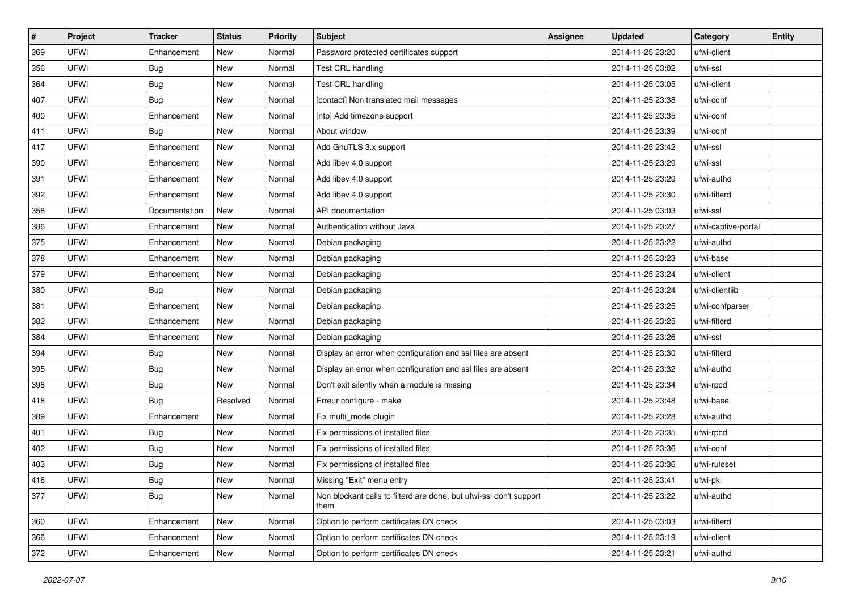| #   | Project | <b>Tracker</b> | <b>Status</b> | <b>Priority</b> | Subject                                                                    | <b>Assignee</b> | <b>Updated</b>   | Category            | <b>Entity</b> |
|-----|---------|----------------|---------------|-----------------|----------------------------------------------------------------------------|-----------------|------------------|---------------------|---------------|
| 369 | UFWI    | Enhancement    | New           | Normal          | Password protected certificates support                                    |                 | 2014-11-25 23:20 | ufwi-client         |               |
| 356 | UFWI    | Bug            | <b>New</b>    | Normal          | Test CRL handling                                                          |                 | 2014-11-25 03:02 | ufwi-ssl            |               |
| 364 | UFWI    | Bug            | New           | Normal          | Test CRL handling                                                          |                 | 2014-11-25 03:05 | ufwi-client         |               |
| 407 | UFWI    | Bug            | New           | Normal          | [contact] Non translated mail messages                                     |                 | 2014-11-25 23:38 | ufwi-conf           |               |
| 400 | UFWI    | Enhancement    | <b>New</b>    | Normal          | [ntp] Add timezone support                                                 |                 | 2014-11-25 23:35 | ufwi-conf           |               |
| 411 | UFWI    | Bug            | New           | Normal          | About window                                                               |                 | 2014-11-25 23:39 | ufwi-conf           |               |
| 417 | UFWI    | Enhancement    | <b>New</b>    | Normal          | Add GnuTLS 3.x support                                                     |                 | 2014-11-25 23:42 | ufwi-ssl            |               |
| 390 | UFWI    | Enhancement    | New           | Normal          | Add libev 4.0 support                                                      |                 | 2014-11-25 23:29 | ufwi-ssl            |               |
| 391 | UFWI    | Enhancement    | New           | Normal          | Add libev 4.0 support                                                      |                 | 2014-11-25 23:29 | ufwi-authd          |               |
| 392 | UFWI    | Enhancement    | <b>New</b>    | Normal          | Add libev 4.0 support                                                      |                 | 2014-11-25 23:30 | ufwi-filterd        |               |
| 358 | UFWI    | Documentation  | New           | Normal          | API documentation                                                          |                 | 2014-11-25 03:03 | ufwi-ssl            |               |
| 386 | UFWI    | Enhancement    | New           | Normal          | Authentication without Java                                                |                 | 2014-11-25 23:27 | ufwi-captive-portal |               |
| 375 | UFWI    | Enhancement    | New           | Normal          | Debian packaging                                                           |                 | 2014-11-25 23:22 | ufwi-authd          |               |
| 378 | UFWI    | Enhancement    | New           | Normal          | Debian packaging                                                           |                 | 2014-11-25 23:23 | ufwi-base           |               |
| 379 | UFWI    | Enhancement    | <b>New</b>    | Normal          | Debian packaging                                                           |                 | 2014-11-25 23:24 | ufwi-client         |               |
| 380 | UFWI    | Bug            | New           | Normal          | Debian packaging                                                           |                 | 2014-11-25 23:24 | ufwi-clientlib      |               |
| 381 | UFWI    | Enhancement    | New           | Normal          | Debian packaging                                                           |                 | 2014-11-25 23:25 | ufwi-confparser     |               |
| 382 | UFWI    | Enhancement    | <b>New</b>    | Normal          | Debian packaging                                                           |                 | 2014-11-25 23:25 | ufwi-filterd        |               |
| 384 | UFWI    | Enhancement    | New           | Normal          | Debian packaging                                                           |                 | 2014-11-25 23:26 | ufwi-ssl            |               |
| 394 | UFWI    | Bug            | New           | Normal          | Display an error when configuration and ssl files are absent               |                 | 2014-11-25 23:30 | ufwi-filterd        |               |
| 395 | UFWI    | Bug            | New           | Normal          | Display an error when configuration and ssl files are absent               |                 | 2014-11-25 23:32 | ufwi-authd          |               |
| 398 | UFWI    | Bug            | New           | Normal          | Don't exit silently when a module is missing                               |                 | 2014-11-25 23:34 | ufwi-rpcd           |               |
| 418 | UFWI    | Bug            | Resolved      | Normal          | Erreur configure - make                                                    |                 | 2014-11-25 23:48 | ufwi-base           |               |
| 389 | UFWI    | Enhancement    | New           | Normal          | Fix multi_mode plugin                                                      |                 | 2014-11-25 23:28 | ufwi-authd          |               |
| 401 | UFWI    | Bug            | New           | Normal          | Fix permissions of installed files                                         |                 | 2014-11-25 23:35 | ufwi-rpcd           |               |
| 402 | UFWI    | Bug            | New           | Normal          | Fix permissions of installed files                                         |                 | 2014-11-25 23:36 | ufwi-conf           |               |
| 403 | UFWI    | Bug            | New           | Normal          | Fix permissions of installed files                                         |                 | 2014-11-25 23:36 | ufwi-ruleset        |               |
| 416 | UFWI    | Bug            | New           | Normal          | Missing "Exit" menu entry                                                  |                 | 2014-11-25 23:41 | ufwi-pki            |               |
| 377 | UFWI    | Bug            | New           | Normal          | Non blockant calls to filterd are done, but ufwi-ssl don't support<br>them |                 | 2014-11-25 23:22 | ufwi-authd          |               |
| 360 | UFWI    | Enhancement    | New           | Normal          | Option to perform certificates DN check                                    |                 | 2014-11-25 03:03 | ufwi-filterd        |               |
| 366 | UFWI    | Enhancement    | New           | Normal          | Option to perform certificates DN check                                    |                 | 2014-11-25 23:19 | ufwi-client         |               |
| 372 | UFWI    | Enhancement    | New           | Normal          | Option to perform certificates DN check                                    |                 | 2014-11-25 23:21 | ufwi-authd          |               |